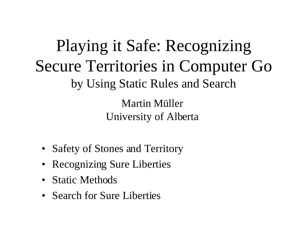Playing it Safe: Recognizing Secure Territories in Computer Go by Using Static Rules and Search Martin Müller University of Alberta

- Safety of Stones and Territory
- Recognizing Sure Liberties
- Static Methods
- Search for Sure Liberties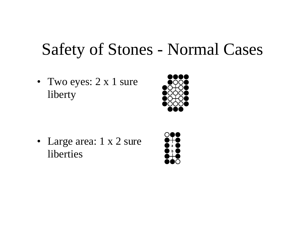## Safety of Stones - Normal Cases

• Two eyes: 2 x 1 sure liberty



• Large area: 1 x 2 sure liberties

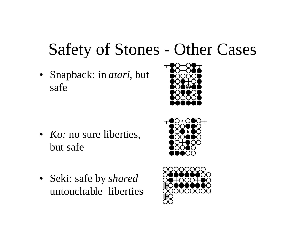## Safety of Stones - Other Cases

- Snapback: in *atari*, but safe
- 

• *Ko:* no sure liberties, but safe



• Seki: safe by *shared* untouchable liberties

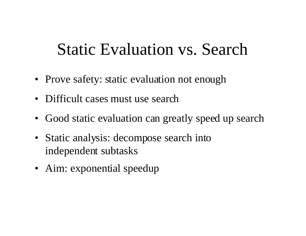## Static Evaluation vs. Search

- Prove safety: static evaluation not enough
- Difficult cases must use search
- Good static evaluation can greatly speed up search
- Static analysis: decompose search into independent subtasks
- Aim: exponential speedup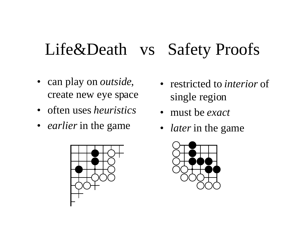## Life&Death vs Safety Proofs

- can play on *outside*, create new eye space
- often uses *heuristics*
- *earlier* in the game



- restricted to *interior* of single region
- must be *exact*
- *later* in the game

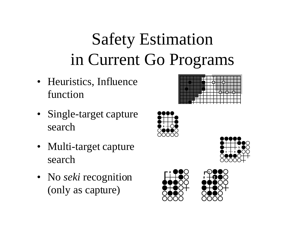# Safety Estimation in Current Go Programs

- Heuristics, Influence function
- Single-target capture search
- Multi-target capture search
- No *seki* recognition (only as capture)



. . . .



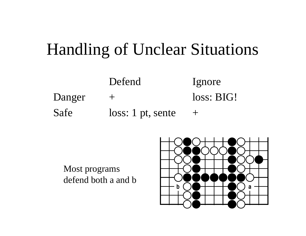## Handling of Unclear Situations

Defend Ignore Danger + loss: BIG! Safe loss: 1 pt, sente +

Most programs defend both a and b

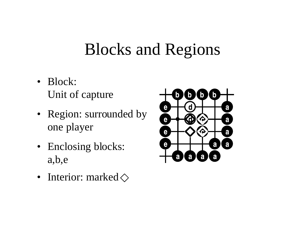## Blocks and Regions

- Block: Unit of capture
- Region: surrounded by one player
- Enclosing blocks: a,b,e
- Interior: marked $\diamondsuit$

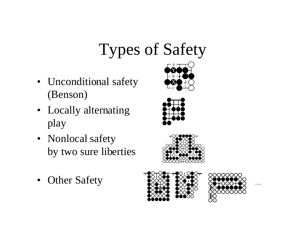# Types of Safety

- Unconditional safety (Benson)
- Locally alternating play
- Nonlocal safety by two sure liberties
- Other Safety







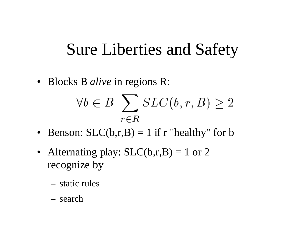#### Sure Liberties and Safety

• Blocks B *alive* in regions R:

$$
\forall b \in B \sum_{r \in R} SLC(b, r, B) \ge 2
$$

- Benson:  $SLC(b,r,B) = 1$  if r "healthy" for b
- Alternating play:  $SLC(b,r,B) = 1$  or 2 recognize by
	- static rules
	- search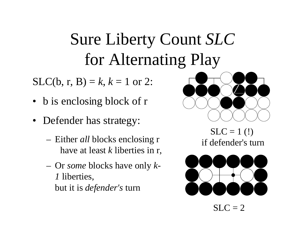## Sure Liberty Count *SLC* for Alternating Play

 $SLC(b, r, B) = k, k = 1$  or 2:

- b is enclosing block of r
- Defender has strategy:
	- Either *all* blocks enclosing r have at least *k* liberties in r,
	- Or *some* blocks have only *k-1* liberties, but it is *defender's* turn



 $SLC = 1$  (!) if defender's turn



 $SLC = 2$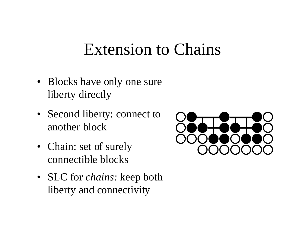#### Extension to Chains

- Blocks have only one sure liberty directly
- Second liberty: connect to another block
- Chain: set of surely connectible blocks
- SLC for *chains:* keep both liberty and connectivity

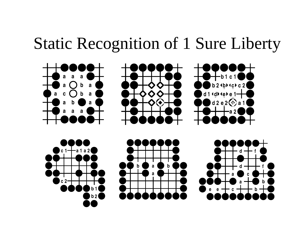## Static Recognition of 1 Sure Liberty

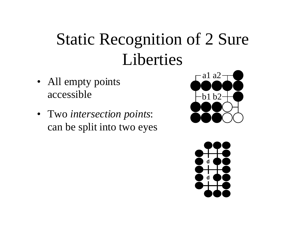## Static Recognition of 2 Sure Liberties

- All empty points accessible
- Two *intersection points*: can be split into two eyes



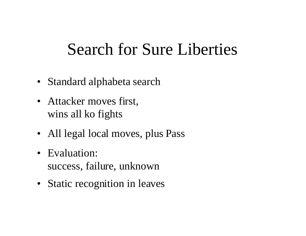## Search for Sure Liberties

- Standard alphabeta search
- Attacker moves first, wins all ko fights
- All legal local moves, plus Pass
- Evaluation: success, failure, unknown
- Static recognition in leaves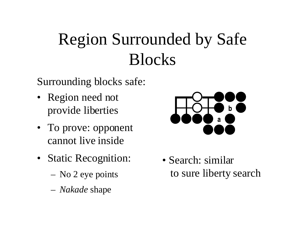## Region Surrounded by Safe Blocks

Surrounding blocks safe:

- Region need not provide liberties
- To prove: opponent cannot live inside
- Static Recognition:
	- No 2 eye points
	- *Nakade* shape



• Search: similar to sure liberty search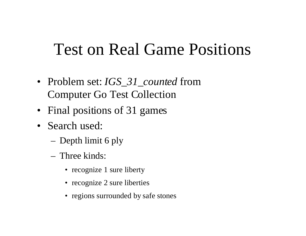## Test on Real Game Positions

- Problem set: *IGS\_31\_counted* from Computer Go Test Collection
- Final positions of 31 games
- Search used:
	- Depth limit 6 ply
	- Three kinds:
		- recognize 1 sure liberty
		- recognize 2 sure liberties
		- regions surrounded by safe stones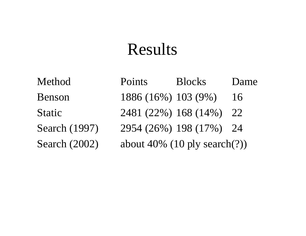## Results

Method Points Blocks Dame Benson 1886 (16%) 103 (9%) 16 Static 2481 (22%) 168 (14%) 22 Search (1997) 2954 (26%) 198 (17%) 24 Search (2002) about 40% (10 ply search(?))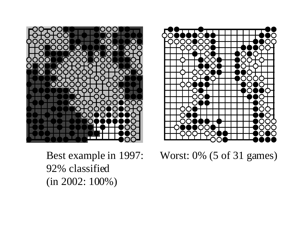

Best example in 1997: 92% classified (in 2002: 100%)



Worst: 0% (5 of 31 games)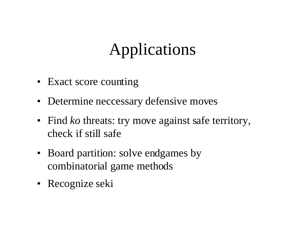## Applications

- Exact score counting
- Determine neccessary defensive moves
- Find *ko* threats: try move against safe territory, check if still safe
- Board partition: solve endgames by combinatorial game methods
- Recognize seki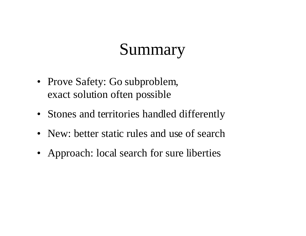## Summary

- Prove Safety: Go subproblem, exact solution often possible
- Stones and territories handled differently
- New: better static rules and use of search
- Approach: local search for sure liberties